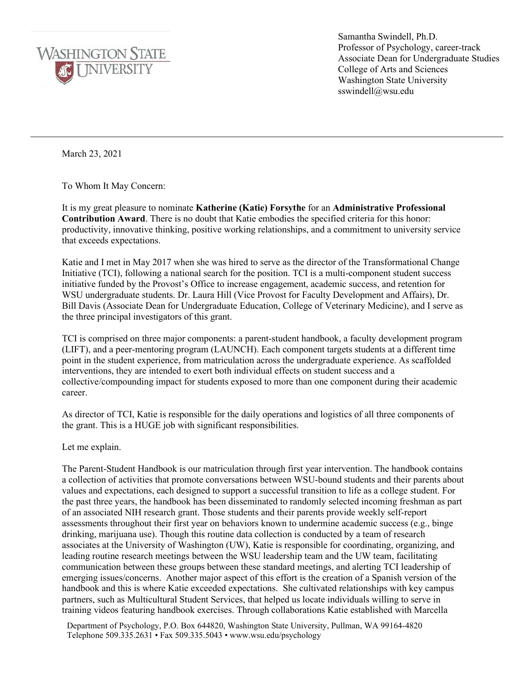

Samantha Swindell, Ph.D. Professor of Psychology, career-track Associate Dean for Undergraduate Studies College of Arts and Sciences Washington State University sswindell@wsu.edu

March 23, 2021

To Whom It May Concern:

It is my great pleasure to nominate **Katherine (Katie) Forsythe** for an **Administrative Professional Contribution Award**. There is no doubt that Katie embodies the specified criteria for this honor: productivity, innovative thinking, positive working relationships, and a commitment to university service that exceeds expectations.

Katie and I met in May 2017 when she was hired to serve as the director of the Transformational Change Initiative (TCI), following a national search for the position. TCI is a multi-component student success initiative funded by the Provost's Office to increase engagement, academic success, and retention for WSU undergraduate students. Dr. Laura Hill (Vice Provost for Faculty Development and Affairs), Dr. Bill Davis (Associate Dean for Undergraduate Education, College of Veterinary Medicine), and I serve as the three principal investigators of this grant.

TCI is comprised on three major components: a parent-student handbook, a faculty development program (LIFT), and a peer-mentoring program (LAUNCH). Each component targets students at a different time point in the student experience, from matriculation across the undergraduate experience. As scaffolded interventions, they are intended to exert both individual effects on student success and a collective/compounding impact for students exposed to more than one component during their academic career.

As director of TCI, Katie is responsible for the daily operations and logistics of all three components of the grant. This is a HUGE job with significant responsibilities.

Let me explain.

The Parent-Student Handbook is our matriculation through first year intervention. The handbook contains a collection of activities that promote conversations between WSU-bound students and their parents about values and expectations, each designed to support a successful transition to life as a college student. For the past three years, the handbook has been disseminated to randomly selected incoming freshman as part of an associated NIH research grant. Those students and their parents provide weekly self-report assessments throughout their first year on behaviors known to undermine academic success (e.g., binge drinking, marijuana use). Though this routine data collection is conducted by a team of research associates at the University of Washington (UW), Katie is responsible for coordinating, organizing, and leading routine research meetings between the WSU leadership team and the UW team, facilitating communication between these groups between these standard meetings, and alerting TCI leadership of emerging issues/concerns. Another major aspect of this effort is the creation of a Spanish version of the handbook and this is where Katie exceeded expectations. She cultivated relationships with key campus partners, such as Multicultural Student Services, that helped us locate individuals willing to serve in training videos featuring handbook exercises. Through collaborations Katie established with Marcella

Department of Psychology, P.O. Box 644820, Washington State University, Pullman, WA 99164-4820 Telephone 509.335.2631 • Fax 509.335.5043 • www.wsu.edu/psychology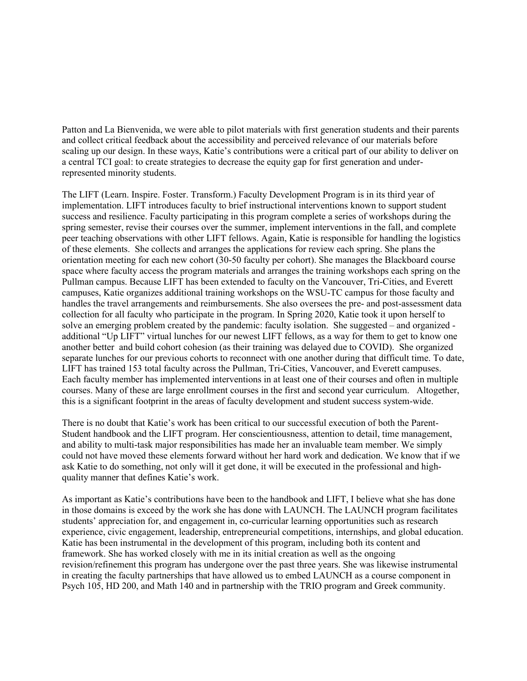Patton and La Bienvenida, we were able to pilot materials with first generation students and their parents and collect critical feedback about the accessibility and perceived relevance of our materials before scaling up our design. In these ways, Katie's contributions were a critical part of our ability to deliver on a central TCI goal: to create strategies to decrease the equity gap for first generation and underrepresented minority students.

The LIFT (Learn. Inspire. Foster. Transform.) Faculty Development Program is in its third year of implementation. LIFT introduces faculty to brief instructional interventions known to support student success and resilience. Faculty participating in this program complete a series of workshops during the spring semester, revise their courses over the summer, implement interventions in the fall, and complete peer teaching observations with other LIFT fellows. Again, Katie is responsible for handling the logistics of these elements. She collects and arranges the applications for review each spring. She plans the orientation meeting for each new cohort (30-50 faculty per cohort). She manages the Blackboard course space where faculty access the program materials and arranges the training workshops each spring on the Pullman campus. Because LIFT has been extended to faculty on the Vancouver, Tri-Cities, and Everett campuses, Katie organizes additional training workshops on the WSU-TC campus for those faculty and handles the travel arrangements and reimbursements. She also oversees the pre- and post-assessment data collection for all faculty who participate in the program. In Spring 2020, Katie took it upon herself to solve an emerging problem created by the pandemic: faculty isolation. She suggested – and organized additional "Up LIFT" virtual lunches for our newest LIFT fellows, as a way for them to get to know one another better and build cohort cohesion (as their training was delayed due to COVID). She organized separate lunches for our previous cohorts to reconnect with one another during that difficult time. To date, LIFT has trained 153 total faculty across the Pullman, Tri-Cities, Vancouver, and Everett campuses. Each faculty member has implemented interventions in at least one of their courses and often in multiple courses. Many of these are large enrollment courses in the first and second year curriculum. Altogether, this is a significant footprint in the areas of faculty development and student success system-wide.

There is no doubt that Katie's work has been critical to our successful execution of both the Parent-Student handbook and the LIFT program. Her conscientiousness, attention to detail, time management, and ability to multi-task major responsibilities has made her an invaluable team member. We simply could not have moved these elements forward without her hard work and dedication. We know that if we ask Katie to do something, not only will it get done, it will be executed in the professional and highquality manner that defines Katie's work.

As important as Katie's contributions have been to the handbook and LIFT, I believe what she has done in those domains is exceed by the work she has done with LAUNCH. The LAUNCH program facilitates students' appreciation for, and engagement in, co-curricular learning opportunities such as research experience, civic engagement, leadership, entrepreneurial competitions, internships, and global education. Katie has been instrumental in the development of this program, including both its content and framework. She has worked closely with me in its initial creation as well as the ongoing revision/refinement this program has undergone over the past three years. She was likewise instrumental in creating the faculty partnerships that have allowed us to embed LAUNCH as a course component in Psych 105, HD 200, and Math 140 and in partnership with the TRIO program and Greek community.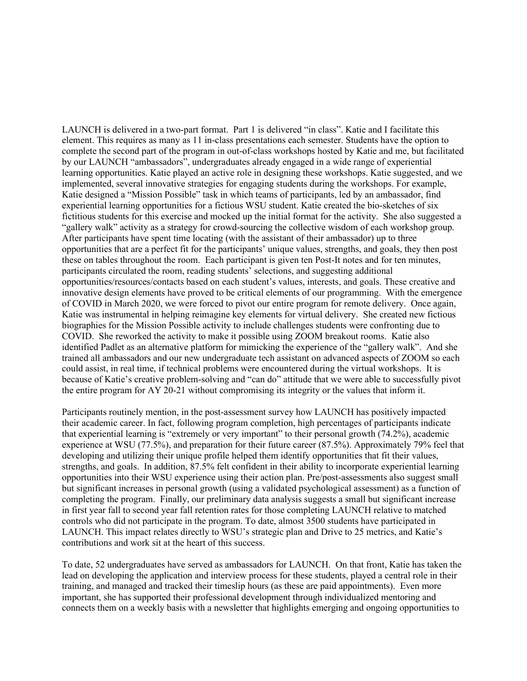LAUNCH is delivered in a two-part format. Part 1 is delivered "in class". Katie and I facilitate this element. This requires as many as 11 in-class presentations each semester. Students have the option to complete the second part of the program in out-of-class workshops hosted by Katie and me, but facilitated by our LAUNCH "ambassadors", undergraduates already engaged in a wide range of experiential learning opportunities. Katie played an active role in designing these workshops. Katie suggested, and we implemented, several innovative strategies for engaging students during the workshops. For example, Katie designed a "Mission Possible" task in which teams of participants, led by an ambassador, find experiential learning opportunities for a fictious WSU student. Katie created the bio-sketches of six fictitious students for this exercise and mocked up the initial format for the activity. She also suggested a "gallery walk" activity as a strategy for crowd-sourcing the collective wisdom of each workshop group. After participants have spent time locating (with the assistant of their ambassador) up to three opportunities that are a perfect fit for the participants' unique values, strengths, and goals, they then post these on tables throughout the room. Each participant is given ten Post-It notes and for ten minutes, participants circulated the room, reading students' selections, and suggesting additional opportunities/resources/contacts based on each student's values, interests, and goals. These creative and innovative design elements have proved to be critical elements of our programming. With the emergence of COVID in March 2020, we were forced to pivot our entire program for remote delivery. Once again, Katie was instrumental in helping reimagine key elements for virtual delivery. She created new fictious biographies for the Mission Possible activity to include challenges students were confronting due to COVID. She reworked the activity to make it possible using ZOOM breakout rooms. Katie also identified Padlet as an alternative platform for mimicking the experience of the "gallery walk". And she trained all ambassadors and our new undergraduate tech assistant on advanced aspects of ZOOM so each could assist, in real time, if technical problems were encountered during the virtual workshops. It is because of Katie's creative problem-solving and "can do" attitude that we were able to successfully pivot the entire program for AY 20-21 without compromising its integrity or the values that inform it.

Participants routinely mention, in the post-assessment survey how LAUNCH has positively impacted their academic career. In fact, following program completion, high percentages of participants indicate that experiential learning is "extremely or very important" to their personal growth (74.2%), academic experience at WSU (77.5%), and preparation for their future career (87.5%). Approximately 79% feel that developing and utilizing their unique profile helped them identify opportunities that fit their values, strengths, and goals. In addition, 87.5% felt confident in their ability to incorporate experiential learning opportunities into their WSU experience using their action plan. Pre/post-assessments also suggest small but significant increases in personal growth (using a validated psychological assessment) as a function of completing the program. Finally, our preliminary data analysis suggests a small but significant increase in first year fall to second year fall retention rates for those completing LAUNCH relative to matched controls who did not participate in the program. To date, almost 3500 students have participated in LAUNCH. This impact relates directly to WSU's strategic plan and Drive to 25 metrics, and Katie's contributions and work sit at the heart of this success.

To date, 52 undergraduates have served as ambassadors for LAUNCH. On that front, Katie has taken the lead on developing the application and interview process for these students, played a central role in their training, and managed and tracked their timeslip hours (as these are paid appointments). Even more important, she has supported their professional development through individualized mentoring and connects them on a weekly basis with a newsletter that highlights emerging and ongoing opportunities to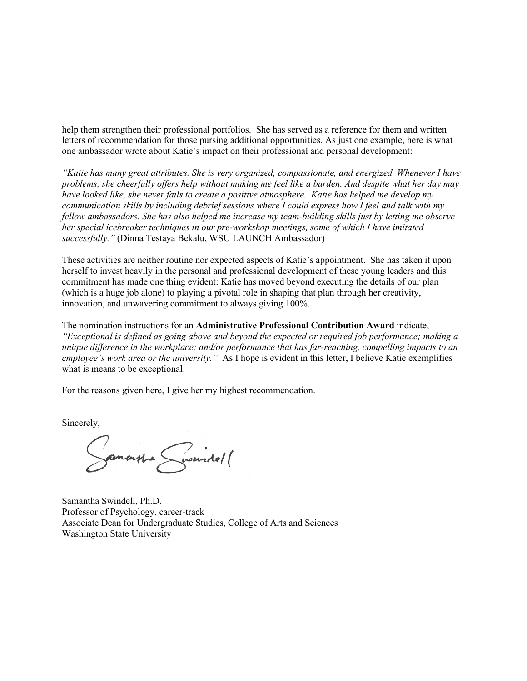help them strengthen their professional portfolios. She has served as a reference for them and written letters of recommendation for those pursing additional opportunities. As just one example, here is what one ambassador wrote about Katie's impact on their professional and personal development:

*"Katie has many great attributes. She is very organized, compassionate, and energized. Whenever I have problems, she cheerfully offers help without making me feel like a burden. And despite what her day may have looked like, she never fails to create a positive atmosphere. Katie has helped me develop my communication skills by including debrief sessions where I could express how I feel and talk with my fellow ambassadors. She has also helped me increase my team-building skills just by letting me observe her special icebreaker techniques in our pre-workshop meetings, some of which I have imitated successfully."* (Dinna Testaya Bekalu, WSU LAUNCH Ambassador)

These activities are neither routine nor expected aspects of Katie's appointment. She has taken it upon herself to invest heavily in the personal and professional development of these young leaders and this commitment has made one thing evident: Katie has moved beyond executing the details of our plan (which is a huge job alone) to playing a pivotal role in shaping that plan through her creativity, innovation, and unwavering commitment to always giving 100%.

The nomination instructions for an **Administrative Professional Contribution Award** indicate, *"Exceptional is defined as going above and beyond the expected or required job performance; making a unique difference in the workplace; and/or performance that has far-reaching, compelling impacts to an employee's work area or the university."* As I hope is evident in this letter, I believe Katie exemplifies what is means to be exceptional.

For the reasons given here, I give her my highest recommendation.

Sincerely,

Samonte Surindo11

Samantha Swindell, Ph.D. Professor of Psychology, career-track Associate Dean for Undergraduate Studies, College of Arts and Sciences Washington State University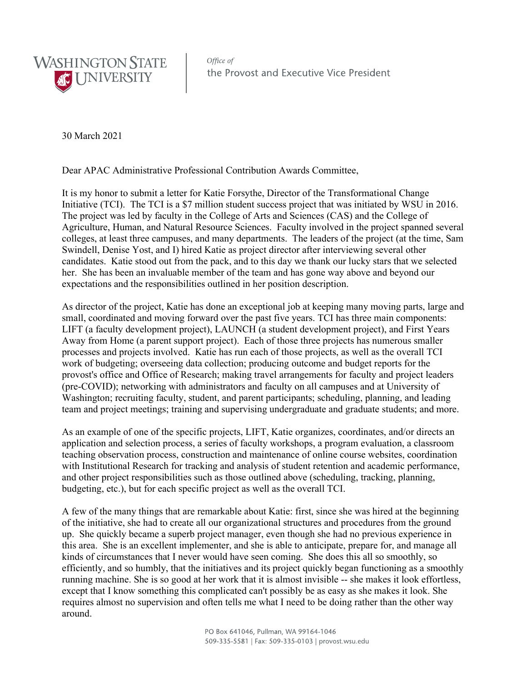

Office of the Provost and Executive Vice President

30 March 2021

Dear APAC Administrative Professional Contribution Awards Committee,

It is my honor to submit a letter for Katie Forsythe, Director of the Transformational Change Initiative (TCI). The TCI is a \$7 million student success project that was initiated by WSU in 2016. The project was led by faculty in the College of Arts and Sciences (CAS) and the College of Agriculture, Human, and Natural Resource Sciences. Faculty involved in the project spanned several colleges, at least three campuses, and many departments. The leaders of the project (at the time, Sam Swindell, Denise Yost, and I) hired Katie as project director after interviewing several other candidates. Katie stood out from the pack, and to this day we thank our lucky stars that we selected her. She has been an invaluable member of the team and has gone way above and beyond our expectations and the responsibilities outlined in her position description.

As director of the project, Katie has done an exceptional job at keeping many moving parts, large and small, coordinated and moving forward over the past five years. TCI has three main components: LIFT (a faculty development project), LAUNCH (a student development project), and First Years Away from Home (a parent support project). Each of those three projects has numerous smaller processes and projects involved. Katie has run each of those projects, as well as the overall TCI work of budgeting; overseeing data collection; producing outcome and budget reports for the provost's office and Office of Research; making travel arrangements for faculty and project leaders (pre-COVID); networking with administrators and faculty on all campuses and at University of Washington; recruiting faculty, student, and parent participants; scheduling, planning, and leading team and project meetings; training and supervising undergraduate and graduate students; and more.

As an example of one of the specific projects, LIFT, Katie organizes, coordinates, and/or directs an application and selection process, a series of faculty workshops, a program evaluation, a classroom teaching observation process, construction and maintenance of online course websites, coordination with Institutional Research for tracking and analysis of student retention and academic performance, and other project responsibilities such as those outlined above (scheduling, tracking, planning, budgeting, etc.), but for each specific project as well as the overall TCI.

A few of the many things that are remarkable about Katie: first, since she was hired at the beginning of the initiative, she had to create all our organizational structures and procedures from the ground up. She quickly became a superb project manager, even though she had no previous experience in this area. She is an excellent implementer, and she is able to anticipate, prepare for, and manage all kinds of circumstances that I never would have seen coming. She does this all so smoothly, so efficiently, and so humbly, that the initiatives and its project quickly began functioning as a smoothly running machine. She is so good at her work that it is almost invisible -- she makes it look effortless, except that I know something this complicated can't possibly be as easy as she makes it look. She requires almost no supervision and often tells me what I need to be doing rather than the other way around.